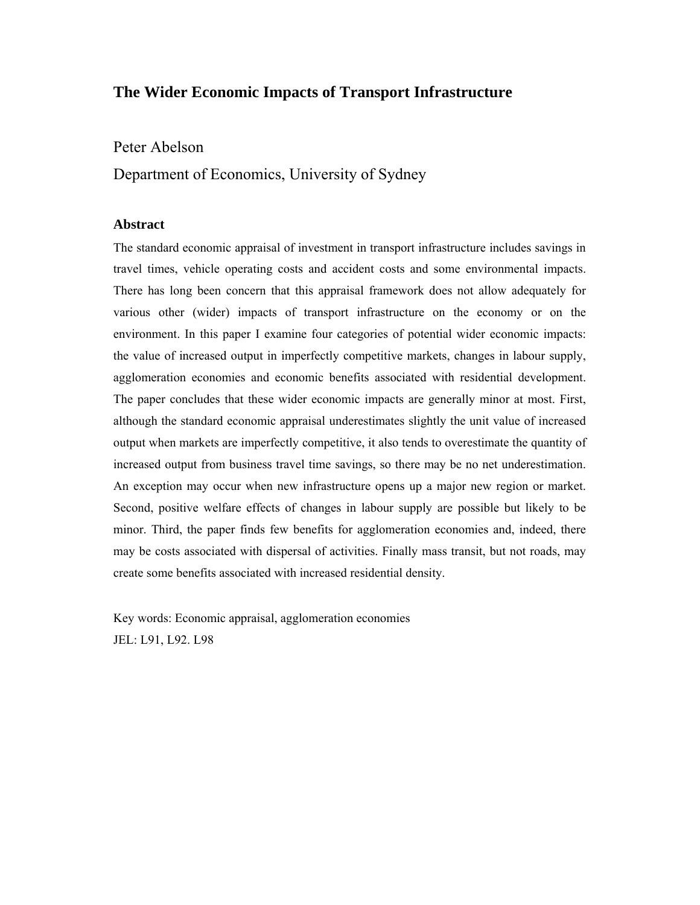## **The Wider Economic Impacts of Transport Infrastructure**

Peter Abelson

Department of Economics, University of Sydney

#### **Abstract**

The standard economic appraisal of investment in transport infrastructure includes savings in travel times, vehicle operating costs and accident costs and some environmental impacts. There has long been concern that this appraisal framework does not allow adequately for various other (wider) impacts of transport infrastructure on the economy or on the environment. In this paper I examine four categories of potential wider economic impacts: the value of increased output in imperfectly competitive markets, changes in labour supply, agglomeration economies and economic benefits associated with residential development. The paper concludes that these wider economic impacts are generally minor at most. First, although the standard economic appraisal underestimates slightly the unit value of increased output when markets are imperfectly competitive, it also tends to overestimate the quantity of increased output from business travel time savings, so there may be no net underestimation. An exception may occur when new infrastructure opens up a major new region or market. Second, positive welfare effects of changes in labour supply are possible but likely to be minor. Third, the paper finds few benefits for agglomeration economies and, indeed, there may be costs associated with dispersal of activities. Finally mass transit, but not roads, may create some benefits associated with increased residential density.

Key words: Economic appraisal, agglomeration economies JEL: L91, L92. L98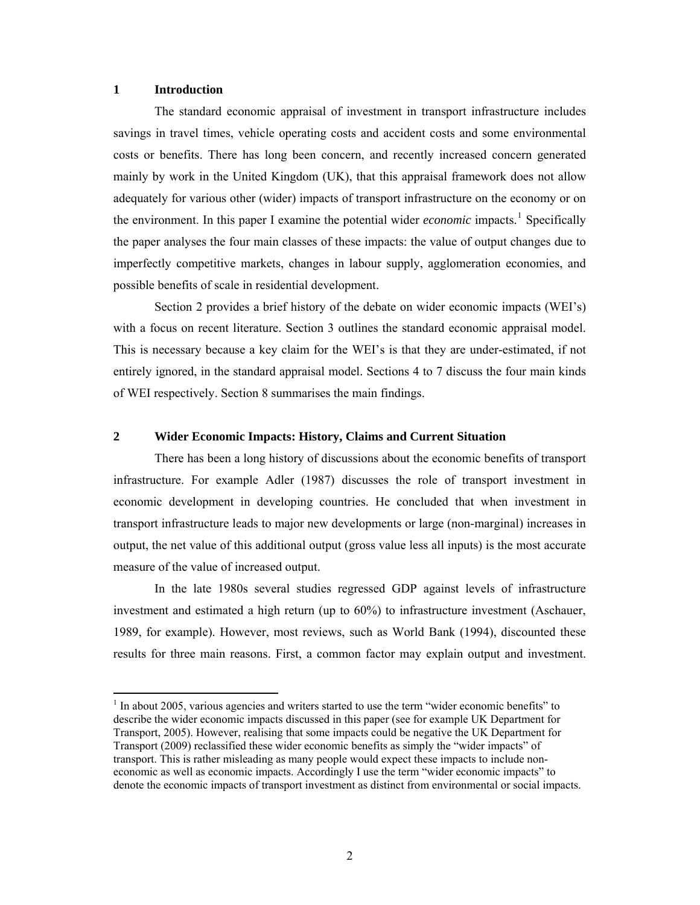#### **1 Introduction**

1

The standard economic appraisal of investment in transport infrastructure includes savings in travel times, vehicle operating costs and accident costs and some environmental costs or benefits. There has long been concern, and recently increased concern generated mainly by work in the United Kingdom (UK), that this appraisal framework does not allow adequately for various other (wider) impacts of transport infrastructure on the economy or on the environment. In this paper I examine the potential wider *economic* impacts.<sup>[1](#page-1-0)</sup> Specifically the paper analyses the four main classes of these impacts: the value of output changes due to imperfectly competitive markets, changes in labour supply, agglomeration economies, and possible benefits of scale in residential development.

Section 2 provides a brief history of the debate on wider economic impacts (WEI's) with a focus on recent literature. Section 3 outlines the standard economic appraisal model. This is necessary because a key claim for the WEI's is that they are under-estimated, if not entirely ignored, in the standard appraisal model. Sections 4 to 7 discuss the four main kinds of WEI respectively. Section 8 summarises the main findings.

#### **2 Wider Economic Impacts: History, Claims and Current Situation**

There has been a long history of discussions about the economic benefits of transport infrastructure. For example Adler (1987) discusses the role of transport investment in economic development in developing countries. He concluded that when investment in transport infrastructure leads to major new developments or large (non-marginal) increases in output, the net value of this additional output (gross value less all inputs) is the most accurate measure of the value of increased output.

In the late 1980s several studies regressed GDP against levels of infrastructure investment and estimated a high return (up to 60%) to infrastructure investment (Aschauer, 1989, for example). However, most reviews, such as World Bank (1994), discounted these results for three main reasons. First, a common factor may explain output and investment.

<span id="page-1-0"></span><sup>&</sup>lt;sup>1</sup> In about 2005, various agencies and writers started to use the term "wider economic benefits" to describe the wider economic impacts discussed in this paper (see for example UK Department for Transport, 2005). However, realising that some impacts could be negative the UK Department for Transport (2009) reclassified these wider economic benefits as simply the "wider impacts" of transport. This is rather misleading as many people would expect these impacts to include noneconomic as well as economic impacts. Accordingly I use the term "wider economic impacts" to denote the economic impacts of transport investment as distinct from environmental or social impacts.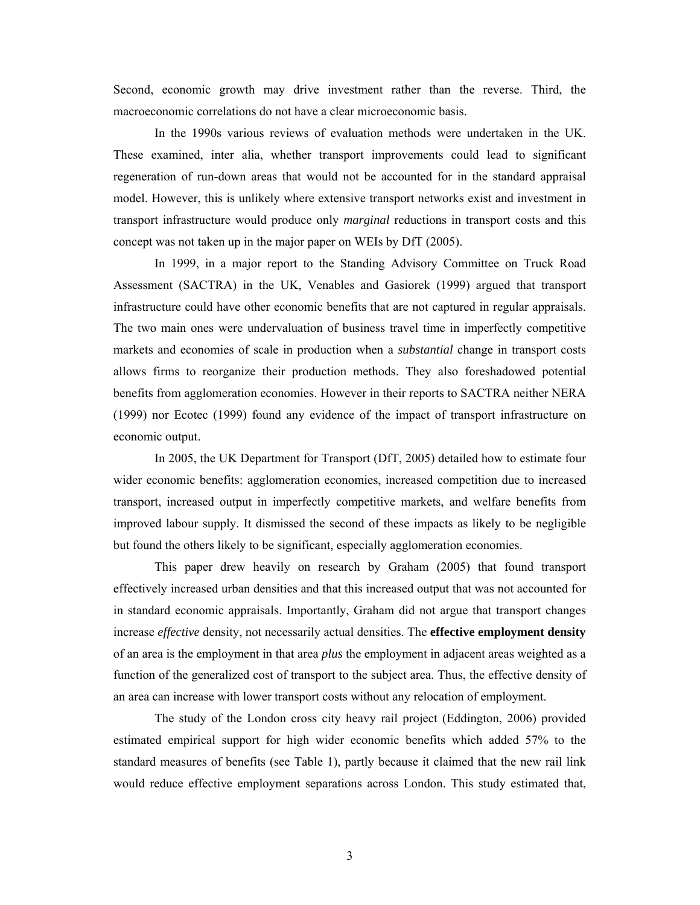Second, economic growth may drive investment rather than the reverse. Third, the macroeconomic correlations do not have a clear microeconomic basis.

In the 1990s various reviews of evaluation methods were undertaken in the UK. These examined, inter alia, whether transport improvements could lead to significant regeneration of run-down areas that would not be accounted for in the standard appraisal model. However, this is unlikely where extensive transport networks exist and investment in transport infrastructure would produce only *marginal* reductions in transport costs and this concept was not taken up in the major paper on WEIs by DfT (2005).

In 1999, in a major report to the Standing Advisory Committee on Truck Road Assessment (SACTRA) in the UK, Venables and Gasiorek (1999) argued that transport infrastructure could have other economic benefits that are not captured in regular appraisals. The two main ones were undervaluation of business travel time in imperfectly competitive markets and economies of scale in production when a *substantial* change in transport costs allows firms to reorganize their production methods. They also foreshadowed potential benefits from agglomeration economies. However in their reports to SACTRA neither NERA (1999) nor Ecotec (1999) found any evidence of the impact of transport infrastructure on economic output.

In 2005, the UK Department for Transport (DfT, 2005) detailed how to estimate four wider economic benefits: agglomeration economies, increased competition due to increased transport, increased output in imperfectly competitive markets, and welfare benefits from improved labour supply. It dismissed the second of these impacts as likely to be negligible but found the others likely to be significant, especially agglomeration economies.

This paper drew heavily on research by Graham (2005) that found transport effectively increased urban densities and that this increased output that was not accounted for in standard economic appraisals. Importantly, Graham did not argue that transport changes increase *effective* density, not necessarily actual densities. The **effective employment density** of an area is the employment in that area *plus* the employment in adjacent areas weighted as a function of the generalized cost of transport to the subject area. Thus, the effective density of an area can increase with lower transport costs without any relocation of employment.

The study of the London cross city heavy rail project (Eddington, 2006) provided estimated empirical support for high wider economic benefits which added 57% to the standard measures of benefits (see Table 1), partly because it claimed that the new rail link would reduce effective employment separations across London. This study estimated that,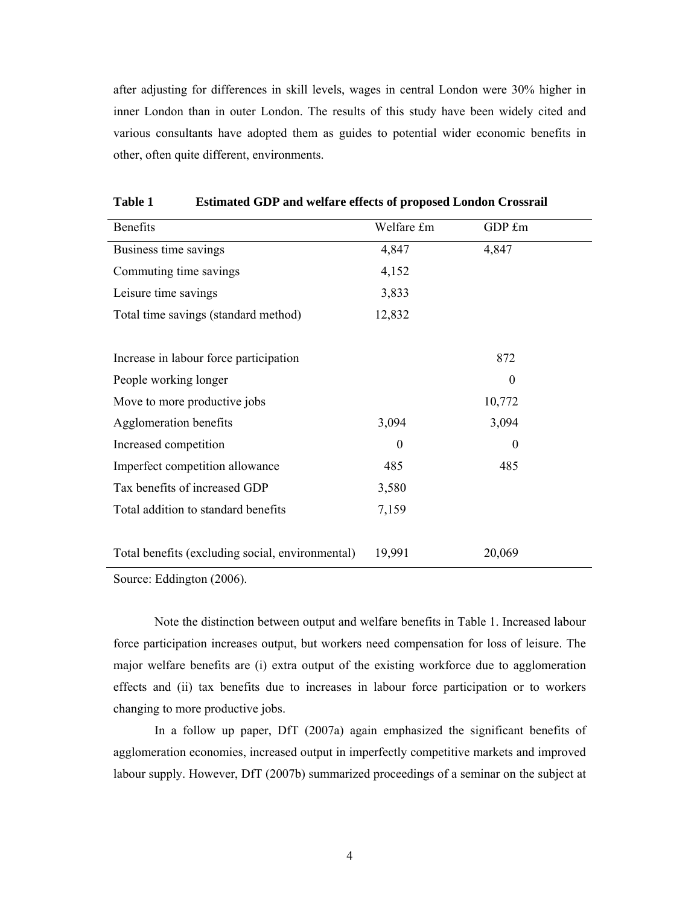after adjusting for differences in skill levels, wages in central London were 30% higher in inner London than in outer London. The results of this study have been widely cited and various consultants have adopted them as guides to potential wider economic benefits in other, often quite different, environments.

| <b>Benefits</b>                                  | Welfare £m     | GDP £m           |
|--------------------------------------------------|----------------|------------------|
| Business time savings                            | 4,847          | 4,847            |
| Commuting time savings                           | 4,152          |                  |
| Leisure time savings                             | 3,833          |                  |
| Total time savings (standard method)             | 12,832         |                  |
|                                                  |                |                  |
| Increase in labour force participation           |                | 872              |
| People working longer                            |                | $\boldsymbol{0}$ |
| Move to more productive jobs                     |                | 10,772           |
| Agglomeration benefits                           | 3,094          | 3,094            |
| Increased competition                            | $\overline{0}$ | $\theta$         |
| Imperfect competition allowance                  | 485            | 485              |
| Tax benefits of increased GDP                    | 3,580          |                  |
| Total addition to standard benefits              | 7,159          |                  |
|                                                  |                |                  |
| Total benefits (excluding social, environmental) | 19,991         | 20,069           |

**Table 1 Estimated GDP and welfare effects of proposed London Crossrail** 

Source: Eddington (2006).

Note the distinction between output and welfare benefits in Table 1. Increased labour force participation increases output, but workers need compensation for loss of leisure. The major welfare benefits are (i) extra output of the existing workforce due to agglomeration effects and (ii) tax benefits due to increases in labour force participation or to workers changing to more productive jobs.

In a follow up paper, DfT (2007a) again emphasized the significant benefits of agglomeration economies, increased output in imperfectly competitive markets and improved labour supply. However, DfT (2007b) summarized proceedings of a seminar on the subject at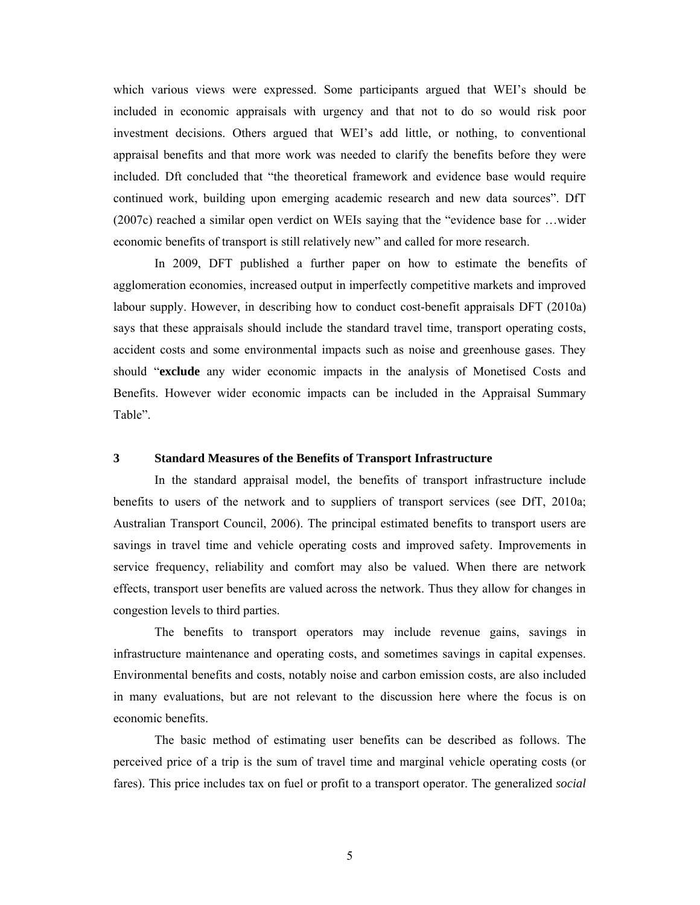which various views were expressed. Some participants argued that WEI's should be included in economic appraisals with urgency and that not to do so would risk poor investment decisions. Others argued that WEI's add little, or nothing, to conventional appraisal benefits and that more work was needed to clarify the benefits before they were included. Dft concluded that "the theoretical framework and evidence base would require continued work, building upon emerging academic research and new data sources". DfT (2007c) reached a similar open verdict on WEIs saying that the "evidence base for …wider economic benefits of transport is still relatively new" and called for more research.

In 2009, DFT published a further paper on how to estimate the benefits of agglomeration economies, increased output in imperfectly competitive markets and improved labour supply. However, in describing how to conduct cost-benefit appraisals DFT (2010a) says that these appraisals should include the standard travel time, transport operating costs, accident costs and some environmental impacts such as noise and greenhouse gases. They should "**exclude** any wider economic impacts in the analysis of Monetised Costs and Benefits. However wider economic impacts can be included in the Appraisal Summary Table".

#### **3 Standard Measures of the Benefits of Transport Infrastructure**

In the standard appraisal model, the benefits of transport infrastructure include benefits to users of the network and to suppliers of transport services (see DfT, 2010a; Australian Transport Council, 2006). The principal estimated benefits to transport users are savings in travel time and vehicle operating costs and improved safety. Improvements in service frequency, reliability and comfort may also be valued. When there are network effects, transport user benefits are valued across the network. Thus they allow for changes in congestion levels to third parties.

The benefits to transport operators may include revenue gains, savings in infrastructure maintenance and operating costs, and sometimes savings in capital expenses. Environmental benefits and costs, notably noise and carbon emission costs, are also included in many evaluations, but are not relevant to the discussion here where the focus is on economic benefits.

The basic method of estimating user benefits can be described as follows. The perceived price of a trip is the sum of travel time and marginal vehicle operating costs (or fares). This price includes tax on fuel or profit to a transport operator. The generalized *social*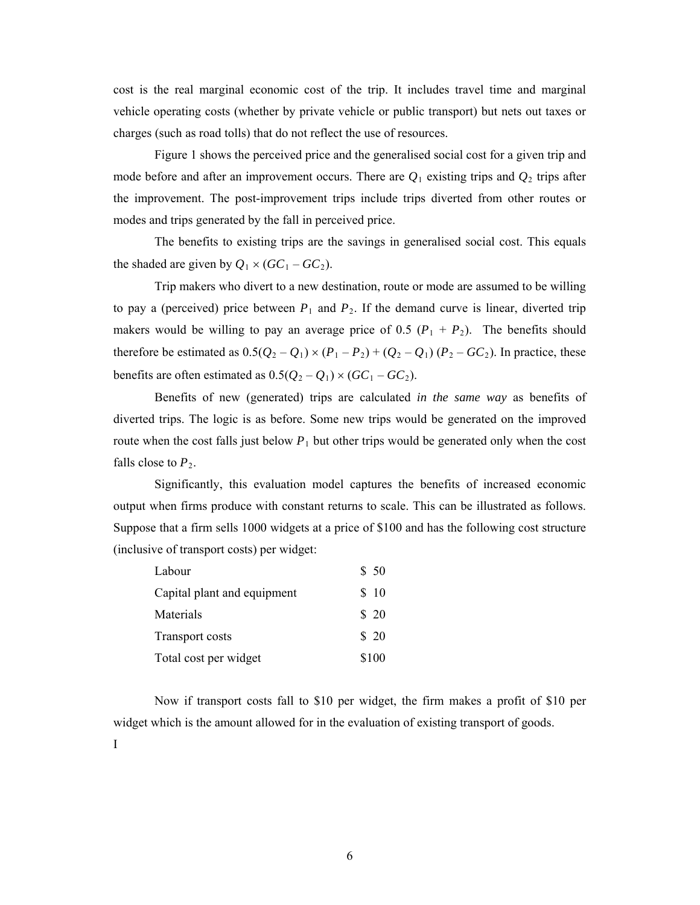cost is the real marginal economic cost of the trip. It includes travel time and marginal vehicle operating costs (whether by private vehicle or public transport) but nets out taxes or charges (such as road tolls) that do not reflect the use of resources.

Figure 1 shows the perceived price and the generalised social cost for a given trip and mode before and after an improvement occurs. There are  $Q_1$  existing trips and  $Q_2$  trips after the improvement. The post-improvement trips include trips diverted from other routes or modes and trips generated by the fall in perceived price.

The benefits to existing trips are the savings in generalised social cost. This equals the shaded are given by  $Q_1 \times (GC_1 - GC_2)$ .

Trip makers who divert to a new destination, route or mode are assumed to be willing to pay a (perceived) price between  $P_1$  and  $P_2$ . If the demand curve is linear, diverted trip makers would be willing to pay an average price of 0.5  $(P_1 + P_2)$ . The benefits should therefore be estimated as  $0.5(Q_2 - Q_1) \times (P_1 - P_2) + (Q_2 - Q_1) (P_2 - GC_2)$ . In practice, these benefits are often estimated as  $0.5(Q_2 - Q_1) \times (GC_1 - GC_2)$ .

Benefits of new (generated) trips are calculated *in the same way* as benefits of diverted trips. The logic is as before. Some new trips would be generated on the improved route when the cost falls just below  $P_1$  but other trips would be generated only when the cost falls close to  $P_2$ .

Significantly, this evaluation model captures the benefits of increased economic output when firms produce with constant returns to scale. This can be illustrated as follows. Suppose that a firm sells 1000 widgets at a price of \$100 and has the following cost structure (inclusive of transport costs) per widget:

| Labour                      | \$50  |
|-----------------------------|-------|
| Capital plant and equipment | \$10  |
| Materials                   | \$20  |
| <b>Transport costs</b>      | \$20  |
| Total cost per widget       | \$100 |

Now if transport costs fall to \$10 per widget, the firm makes a profit of \$10 per widget which is the amount allowed for in the evaluation of existing transport of goods.

I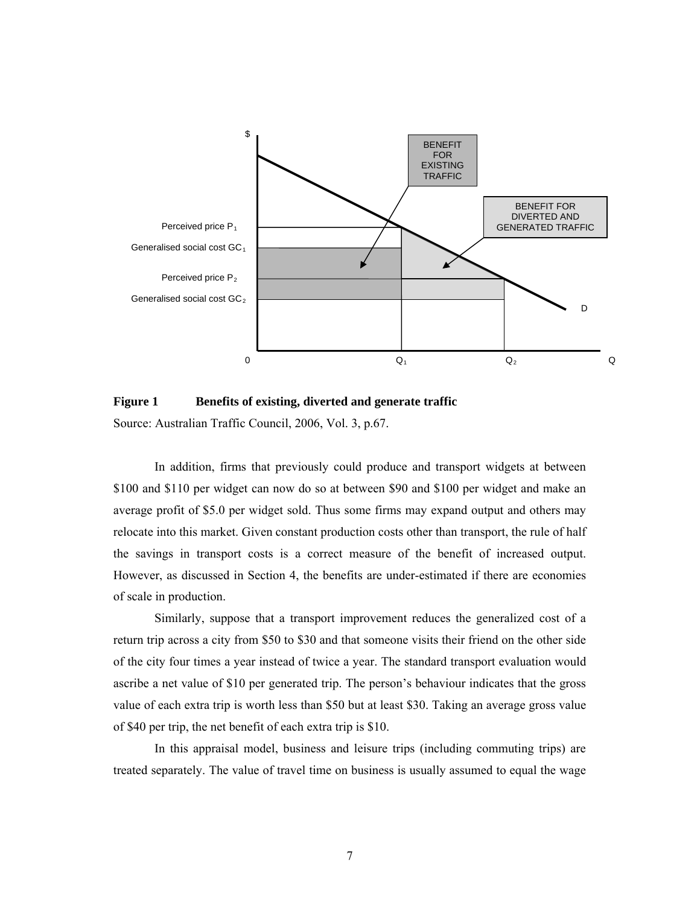

Figure 1 Benefits of existing, diverted and generate traffic

Source: Australian Traffic Council, 2006, Vol. 3, p.67.

In addition, firms that previously could produce and transport widgets at between \$100 and \$110 per widget can now do so at between \$90 and \$100 per widget and make an average profit of \$5.0 per widget sold. Thus some firms may expand output and others may relocate into this market. Given constant production costs other than transport, the rule of half the savings in transport costs is a correct measure of the benefit of increased output. However, as discussed in Section 4, the benefits are under-estimated if there are economies of scale in production.

Similarly, suppose that a transport improvement reduces the generalized cost of a return trip across a city from \$50 to \$30 and that someone visits their friend on the other side of the city four times a year instead of twice a year. The standard transport evaluation would ascribe a net value of \$10 per generated trip. The person's behaviour indicates that the gross value of each extra trip is worth less than \$50 but at least \$30. Taking an average gross value of \$40 per trip, the net benefit of each extra trip is \$10.

In this appraisal model, business and leisure trips (including commuting trips) are treated separately. The value of travel time on business is usually assumed to equal the wage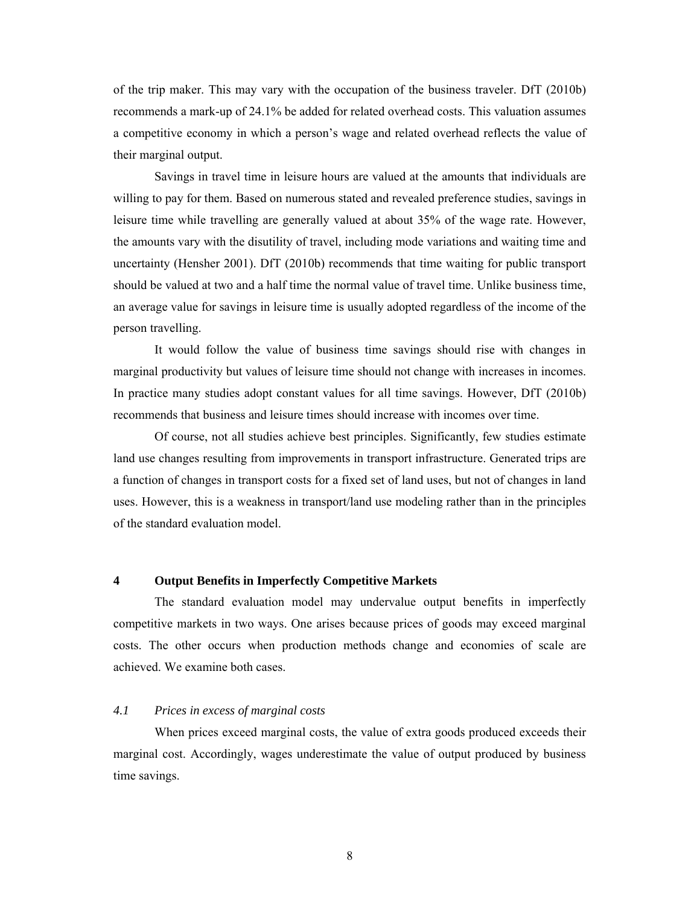of the trip maker. This may vary with the occupation of the business traveler. DfT (2010b) recommends a mark-up of 24.1% be added for related overhead costs. This valuation assumes a competitive economy in which a person's wage and related overhead reflects the value of their marginal output.

Savings in travel time in leisure hours are valued at the amounts that individuals are willing to pay for them. Based on numerous stated and revealed preference studies, savings in leisure time while travelling are generally valued at about 35% of the wage rate. However, the amounts vary with the disutility of travel, including mode variations and waiting time and uncertainty (Hensher 2001). DfT (2010b) recommends that time waiting for public transport should be valued at two and a half time the normal value of travel time. Unlike business time, an average value for savings in leisure time is usually adopted regardless of the income of the person travelling.

 It would follow the value of business time savings should rise with changes in marginal productivity but values of leisure time should not change with increases in incomes. In practice many studies adopt constant values for all time savings. However, DfT (2010b) recommends that business and leisure times should increase with incomes over time.

Of course, not all studies achieve best principles. Significantly, few studies estimate land use changes resulting from improvements in transport infrastructure. Generated trips are a function of changes in transport costs for a fixed set of land uses, but not of changes in land uses. However, this is a weakness in transport/land use modeling rather than in the principles of the standard evaluation model.

#### **4 Output Benefits in Imperfectly Competitive Markets**

The standard evaluation model may undervalue output benefits in imperfectly competitive markets in two ways. One arises because prices of goods may exceed marginal costs. The other occurs when production methods change and economies of scale are achieved. We examine both cases.

## *4.1 Prices in excess of marginal costs*

When prices exceed marginal costs, the value of extra goods produced exceeds their marginal cost. Accordingly, wages underestimate the value of output produced by business time savings.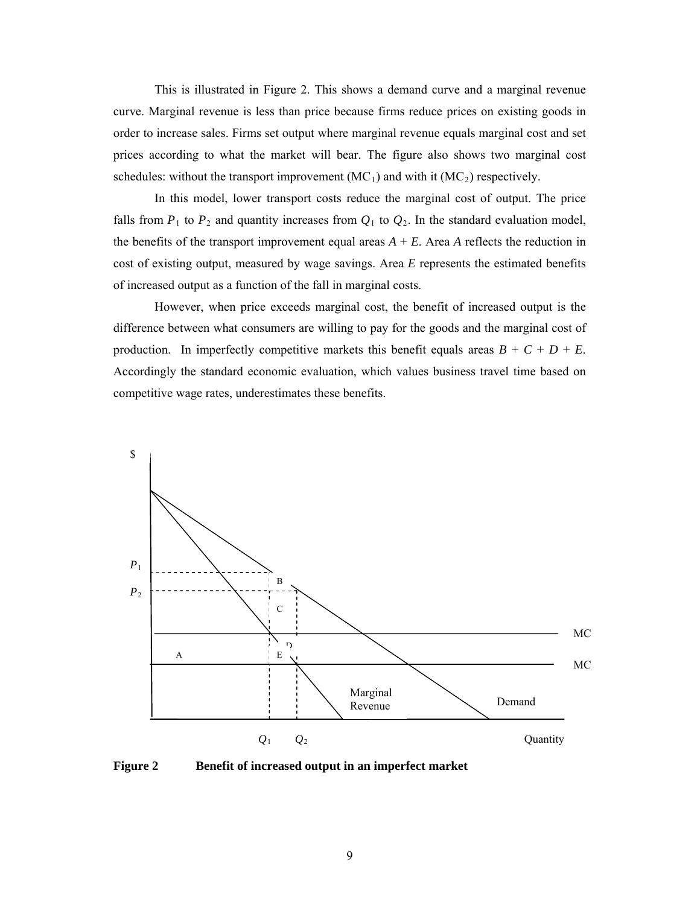This is illustrated in Figure 2. This shows a demand curve and a marginal revenue curve. Marginal revenue is less than price because firms reduce prices on existing goods in order to increase sales. Firms set output where marginal revenue equals marginal cost and set prices according to what the market will bear. The figure also shows two marginal cost schedules: without the transport improvement  $(MC_1)$  and with it  $(MC_2)$  respectively.

In this model, lower transport costs reduce the marginal cost of output. The price falls from  $P_1$  to  $P_2$  and quantity increases from  $Q_1$  to  $Q_2$ . In the standard evaluation model, the benefits of the transport improvement equal areas  $A + E$ . Area  $A$  reflects the reduction in cost of existing output, measured by wage savings. Area *E* represents the estimated benefits of increased output as a function of the fall in marginal costs.

However, when price exceeds marginal cost, the benefit of increased output is the difference between what consumers are willing to pay for the goods and the marginal cost of production. In imperfectly competitive markets this benefit equals areas  $B + C + D + E$ . Accordingly the standard economic evaluation, which values business travel time based on competitive wage rates, underestimates these benefits.



**Figure 2 Benefit of increased output in an imperfect market**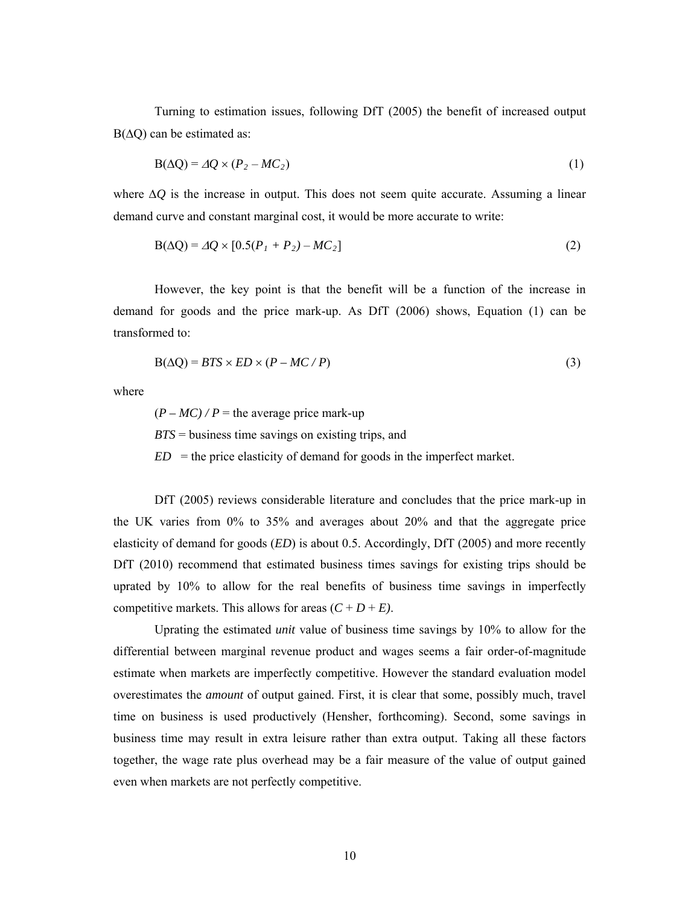Turning to estimation issues, following DfT (2005) the benefit of increased output  $B(\Delta Q)$  can be estimated as:

$$
B(\Delta Q) = \Delta Q \times (P_2 - MC_2) \tag{1}
$$

where  $\Delta Q$  is the increase in output. This does not seem quite accurate. Assuming a linear demand curve and constant marginal cost, it would be more accurate to write:

$$
B(\Delta Q) = \Delta Q \times [0.5(P_1 + P_2) - MC_2]
$$
\n(2)

However, the key point is that the benefit will be a function of the increase in demand for goods and the price mark-up. As DfT (2006) shows, Equation (1) can be transformed to:

$$
B(\Delta Q) = BTS \times ED \times (P - MC / P) \tag{3}
$$

where

 $(P - MC)$  / P = the average price mark-up *BTS* = business time savings on existing trips, and  $ED =$  the price elasticity of demand for goods in the imperfect market.

DfT (2005) reviews considerable literature and concludes that the price mark-up in the UK varies from 0% to 35% and averages about 20% and that the aggregate price elasticity of demand for goods (*ED*) is about 0.5. Accordingly, DfT (2005) and more recently DfT (2010) recommend that estimated business times savings for existing trips should be uprated by 10% to allow for the real benefits of business time savings in imperfectly competitive markets. This allows for areas  $(C + D + E)$ .

 Uprating the estimated *unit* value of business time savings by 10% to allow for the differential between marginal revenue product and wages seems a fair order-of-magnitude estimate when markets are imperfectly competitive. However the standard evaluation model overestimates the *amount* of output gained. First, it is clear that some, possibly much, travel time on business is used productively (Hensher, forthcoming). Second, some savings in business time may result in extra leisure rather than extra output. Taking all these factors together, the wage rate plus overhead may be a fair measure of the value of output gained even when markets are not perfectly competitive.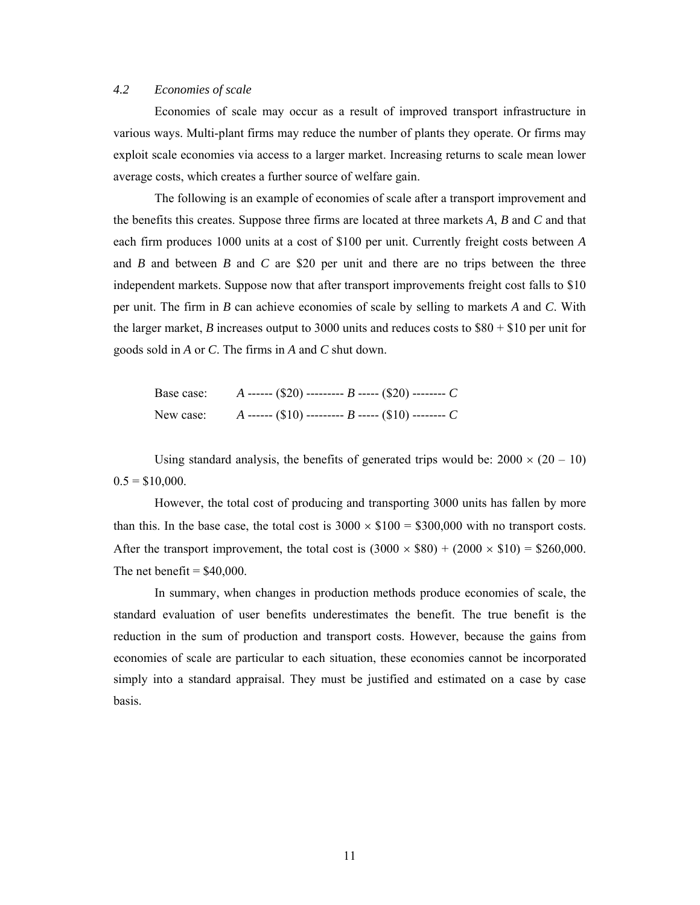#### *4.2 Economies of scale*

Economies of scale may occur as a result of improved transport infrastructure in various ways. Multi-plant firms may reduce the number of plants they operate. Or firms may exploit scale economies via access to a larger market. Increasing returns to scale mean lower average costs, which creates a further source of welfare gain.

The following is an example of economies of scale after a transport improvement and the benefits this creates. Suppose three firms are located at three markets *A*, *B* and *C* and that each firm produces 1000 units at a cost of \$100 per unit. Currently freight costs between *A*  and *B* and between *B* and *C* are \$20 per unit and there are no trips between the three independent markets. Suppose now that after transport improvements freight cost falls to \$10 per unit. The firm in *B* can achieve economies of scale by selling to markets *A* and *C*. With the larger market, *B* increases output to 3000 units and reduces costs to  $$80 + $10$  per unit for goods sold in *A* or *C*. The firms in *A* and *C* shut down.

| Base case: | A ------ (\$20) --------- B ----- (\$20) -------- C                 |
|------------|---------------------------------------------------------------------|
|            | New case: $A$ ------ (\$10) --------- $B$ ----- (\$10) -------- $C$ |

Using standard analysis, the benefits of generated trips would be:  $2000 \times (20 - 10)$  $0.5 = $10,000$ .

However, the total cost of producing and transporting 3000 units has fallen by more than this. In the base case, the total cost is  $3000 \times $100 = $300,000$  with no transport costs. After the transport improvement, the total cost is  $(3000 \times $80) + (2000 \times $10) = $260,000$ . The net benefit  $=$  \$40,000.

 In summary, when changes in production methods produce economies of scale, the standard evaluation of user benefits underestimates the benefit. The true benefit is the reduction in the sum of production and transport costs. However, because the gains from economies of scale are particular to each situation, these economies cannot be incorporated simply into a standard appraisal. They must be justified and estimated on a case by case basis.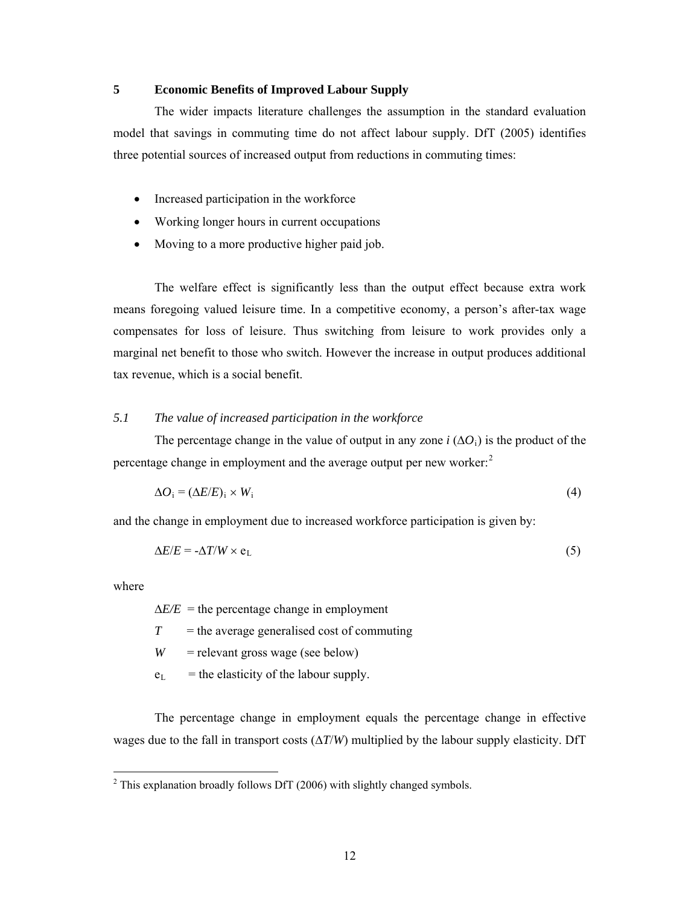## **5 Economic Benefits of Improved Labour Supply**

The wider impacts literature challenges the assumption in the standard evaluation model that savings in commuting time do not affect labour supply. DfT (2005) identifies three potential sources of increased output from reductions in commuting times:

- Increased participation in the workforce
- Working longer hours in current occupations
- Moving to a more productive higher paid job.

The welfare effect is significantly less than the output effect because extra work means foregoing valued leisure time. In a competitive economy, a person's after-tax wage compensates for loss of leisure. Thus switching from leisure to work provides only a marginal net benefit to those who switch. However the increase in output produces additional tax revenue, which is a social benefit.

#### *5.1 The value of increased participation in the workforce*

The percentage change in the value of output in any zone *i*  $(\Delta O_i)$  is the product of the percentage change in employment and the average output per new worker: $2$ 

$$
\Delta O_i = (\Delta E/E)_i \times W_i \tag{4}
$$

and the change in employment due to increased workforce participation is given by:

$$
\Delta E/E = -\Delta T/W \times e_L \tag{5}
$$

where

1

 $\Delta E/E$  = the percentage change in employment

 $T =$  the average generalised cost of commuting

 $W =$  relevant gross wage (see below)

 $e_L$  = the elasticity of the labour supply.

The percentage change in employment equals the percentage change in effective wages due to the fall in transport costs  $(\Delta T/W)$  multiplied by the labour supply elasticity. DfT

<span id="page-11-0"></span> $2$  This explanation broadly follows DfT (2006) with slightly changed symbols.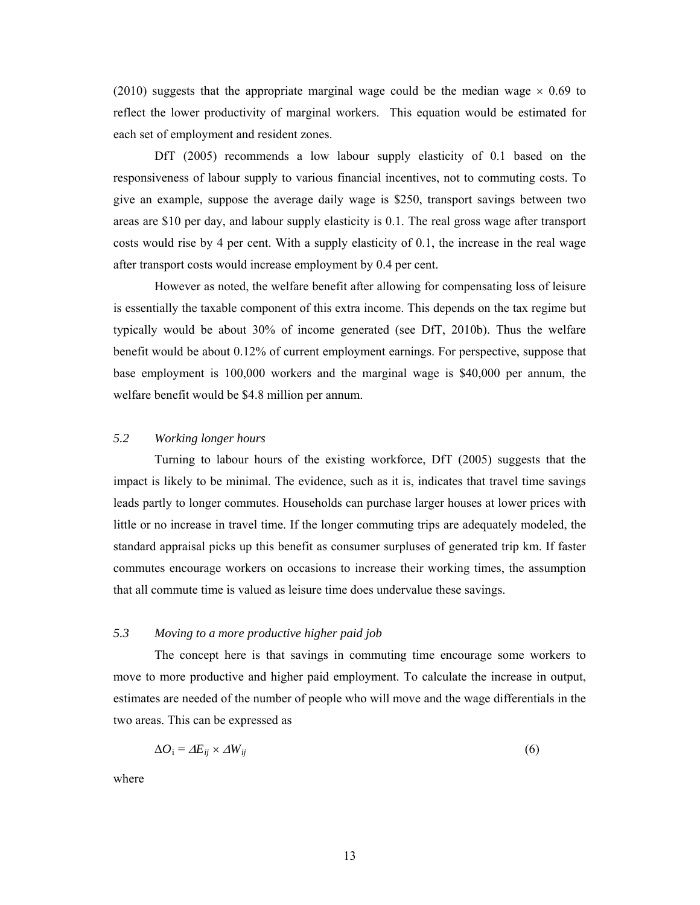(2010) suggests that the appropriate marginal wage could be the median wage  $\times$  0.69 to reflect the lower productivity of marginal workers. This equation would be estimated for each set of employment and resident zones.

DfT (2005) recommends a low labour supply elasticity of 0.1 based on the responsiveness of labour supply to various financial incentives, not to commuting costs. To give an example, suppose the average daily wage is \$250, transport savings between two areas are \$10 per day, and labour supply elasticity is 0.1. The real gross wage after transport costs would rise by 4 per cent. With a supply elasticity of 0.1, the increase in the real wage after transport costs would increase employment by 0.4 per cent.

 However as noted, the welfare benefit after allowing for compensating loss of leisure is essentially the taxable component of this extra income. This depends on the tax regime but typically would be about 30% of income generated (see DfT, 2010b). Thus the welfare benefit would be about 0.12% of current employment earnings. For perspective, suppose that base employment is 100,000 workers and the marginal wage is \$40,000 per annum, the welfare benefit would be \$4.8 million per annum.

#### *5.2 Working longer hours*

Turning to labour hours of the existing workforce, DfT (2005) suggests that the impact is likely to be minimal. The evidence, such as it is, indicates that travel time savings leads partly to longer commutes. Households can purchase larger houses at lower prices with little or no increase in travel time. If the longer commuting trips are adequately modeled, the standard appraisal picks up this benefit as consumer surpluses of generated trip km. If faster commutes encourage workers on occasions to increase their working times, the assumption that all commute time is valued as leisure time does undervalue these savings.

#### *5.3 Moving to a more productive higher paid job*

The concept here is that savings in commuting time encourage some workers to move to more productive and higher paid employment. To calculate the increase in output, estimates are needed of the number of people who will move and the wage differentials in the two areas. This can be expressed as

$$
\Delta O_i = \Delta E_{ij} \times \Delta W_{ij} \tag{6}
$$

where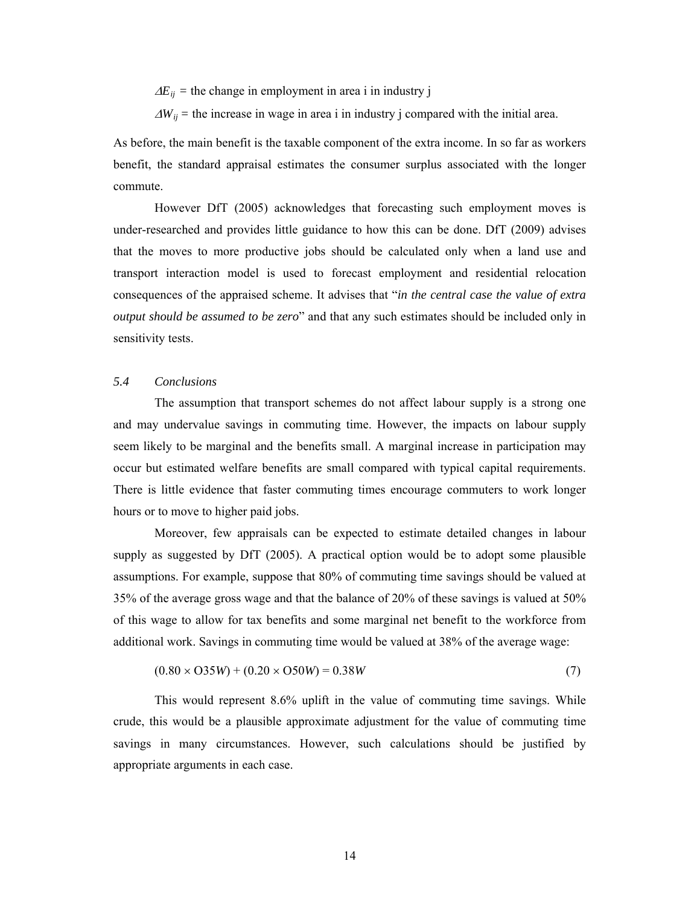$\Delta E_{ij}$  = the change in employment in area i in industry j

 $\Delta W_{ij}$  = the increase in wage in area i in industry j compared with the initial area.

As before, the main benefit is the taxable component of the extra income. In so far as workers benefit, the standard appraisal estimates the consumer surplus associated with the longer commute.

However DfT (2005) acknowledges that forecasting such employment moves is under-researched and provides little guidance to how this can be done. DfT (2009) advises that the moves to more productive jobs should be calculated only when a land use and transport interaction model is used to forecast employment and residential relocation consequences of the appraised scheme. It advises that "*in the central case the value of extra output should be assumed to be zero*" and that any such estimates should be included only in sensitivity tests.

#### *5.4 Conclusions*

The assumption that transport schemes do not affect labour supply is a strong one and may undervalue savings in commuting time. However, the impacts on labour supply seem likely to be marginal and the benefits small. A marginal increase in participation may occur but estimated welfare benefits are small compared with typical capital requirements. There is little evidence that faster commuting times encourage commuters to work longer hours or to move to higher paid jobs.

Moreover, few appraisals can be expected to estimate detailed changes in labour supply as suggested by DfT (2005). A practical option would be to adopt some plausible assumptions. For example, suppose that 80% of commuting time savings should be valued at 35% of the average gross wage and that the balance of 20% of these savings is valued at 50% of this wage to allow for tax benefits and some marginal net benefit to the workforce from additional work. Savings in commuting time would be valued at 38% of the average wage:

$$
(0.80 \times O35W) + (0.20 \times O50W) = 0.38W
$$
 (7)

This would represent 8.6% uplift in the value of commuting time savings. While crude, this would be a plausible approximate adjustment for the value of commuting time savings in many circumstances. However, such calculations should be justified by appropriate arguments in each case.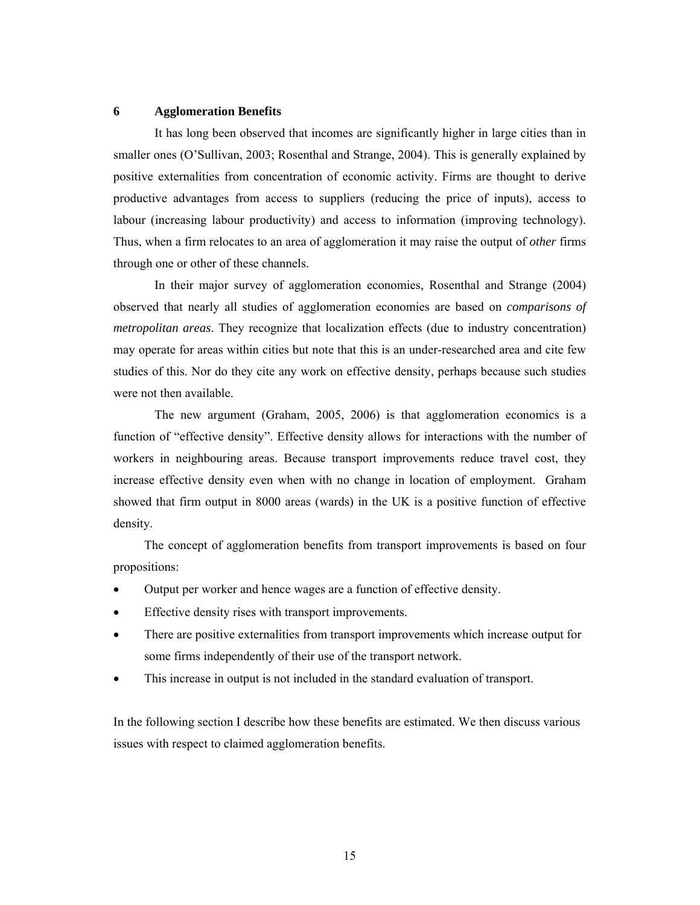#### **6 Agglomeration Benefits**

It has long been observed that incomes are significantly higher in large cities than in smaller ones (O'Sullivan, 2003; Rosenthal and Strange, 2004). This is generally explained by positive externalities from concentration of economic activity. Firms are thought to derive productive advantages from access to suppliers (reducing the price of inputs), access to labour (increasing labour productivity) and access to information (improving technology). Thus, when a firm relocates to an area of agglomeration it may raise the output of *other* firms through one or other of these channels.

In their major survey of agglomeration economies, Rosenthal and Strange (2004) observed that nearly all studies of agglomeration economies are based on *comparisons of metropolitan areas*. They recognize that localization effects (due to industry concentration) may operate for areas within cities but note that this is an under-researched area and cite few studies of this. Nor do they cite any work on effective density, perhaps because such studies were not then available.

The new argument (Graham, 2005, 2006) is that agglomeration economics is a function of "effective density". Effective density allows for interactions with the number of workers in neighbouring areas. Because transport improvements reduce travel cost, they increase effective density even when with no change in location of employment. Graham showed that firm output in 8000 areas (wards) in the UK is a positive function of effective density.

The concept of agglomeration benefits from transport improvements is based on four propositions:

- Output per worker and hence wages are a function of effective density.
- Effective density rises with transport improvements.
- There are positive externalities from transport improvements which increase output for some firms independently of their use of the transport network.
- This increase in output is not included in the standard evaluation of transport.

In the following section I describe how these benefits are estimated. We then discuss various issues with respect to claimed agglomeration benefits.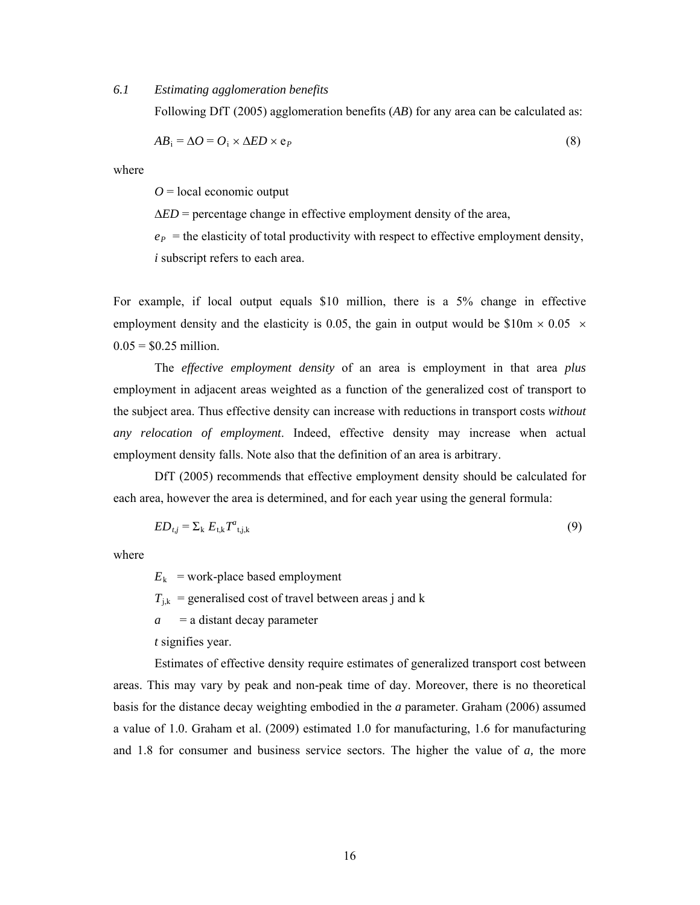#### *6.1 Estimating agglomeration benefits*

Following DfT (2005) agglomeration benefits (*AB*) for any area can be calculated as:

$$
AB_i = \Delta O = O_i \times \Delta ED \times e_P \tag{8}
$$

where

 $Q =$ local economic output

 $\triangle ED$  = percentage change in effective employment density of the area,

 $e_P$  = the elasticity of total productivity with respect to effective employment density, *i* subscript refers to each area.

For example, if local output equals \$10 million, there is a 5% change in effective employment density and the elasticity is 0.05, the gain in output would be \$10m  $\times$  0.05  $\times$  $0.05 = $0.25$  million.

The *effective employment density* of an area is employment in that area *plus* employment in adjacent areas weighted as a function of the generalized cost of transport to the subject area. Thus effective density can increase with reductions in transport costs *without any relocation of employment*. Indeed, effective density may increase when actual employment density falls. Note also that the definition of an area is arbitrary.

DfT (2005) recommends that effective employment density should be calculated for each area, however the area is determined, and for each year using the general formula:

$$
ED_{t,j} = \sum_{k} E_{t,k} T^{a}_{t,j,k} \tag{9}
$$

where

 $E_k$  = work-place based employment

 $T_{i,k}$  = generalised cost of travel between areas j and k

*a* = a distant decay parameter

*t* signifies year.

Estimates of effective density require estimates of generalized transport cost between areas. This may vary by peak and non-peak time of day. Moreover, there is no theoretical basis for the distance decay weighting embodied in the *a* parameter. Graham (2006) assumed a value of 1.0. Graham et al. (2009) estimated 1.0 for manufacturing, 1.6 for manufacturing and 1.8 for consumer and business service sectors. The higher the value of *a,* the more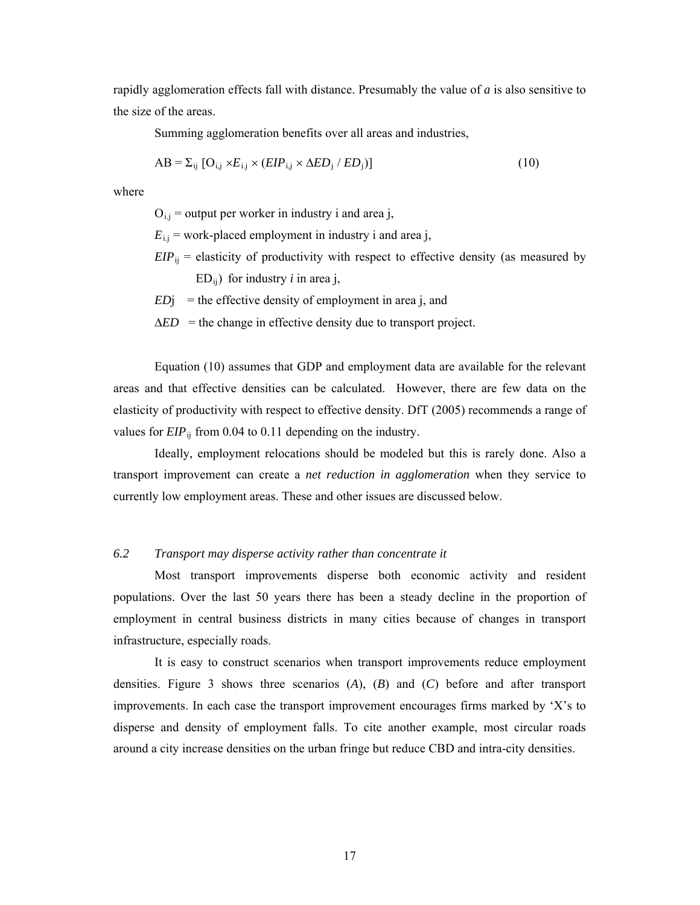rapidly agglomeration effects fall with distance. Presumably the value of *a* is also sensitive to the size of the areas.

Summing agglomeration benefits over all areas and industries,

$$
AB = \sum_{ij} [O_{i,j} \times E_{i,j} \times (EIP_{i,j} \times \Delta ED_j / ED_j)] \tag{10}
$$

where

 $O_{i,j}$  = output per worker in industry i and area j,

 $E_{\text{i},j}$  = work-placed employment in industry i and area j,

 $EIP_{ij}$  = elasticity of productivity with respect to effective density (as measured by

 $ED_{ii}$ ) for industry *i* in area j,

- $EDj$  = the effective density of employment in area j, and
- $\triangle ED$  = the change in effective density due to transport project.

Equation (10) assumes that GDP and employment data are available for the relevant areas and that effective densities can be calculated. However, there are few data on the elasticity of productivity with respect to effective density. DfT (2005) recommends a range of values for *EIP*<sub>ij</sub> from 0.04 to 0.11 depending on the industry.

Ideally, employment relocations should be modeled but this is rarely done. Also a transport improvement can create a *net reduction in agglomeration* when they service to currently low employment areas. These and other issues are discussed below.

#### *6.2 Transport may disperse activity rather than concentrate it*

Most transport improvements disperse both economic activity and resident populations. Over the last 50 years there has been a steady decline in the proportion of employment in central business districts in many cities because of changes in transport infrastructure, especially roads.

It is easy to construct scenarios when transport improvements reduce employment densities. Figure 3 shows three scenarios (*A*), (*B*) and (*C*) before and after transport improvements. In each case the transport improvement encourages firms marked by 'X's to disperse and density of employment falls. To cite another example, most circular roads around a city increase densities on the urban fringe but reduce CBD and intra-city densities.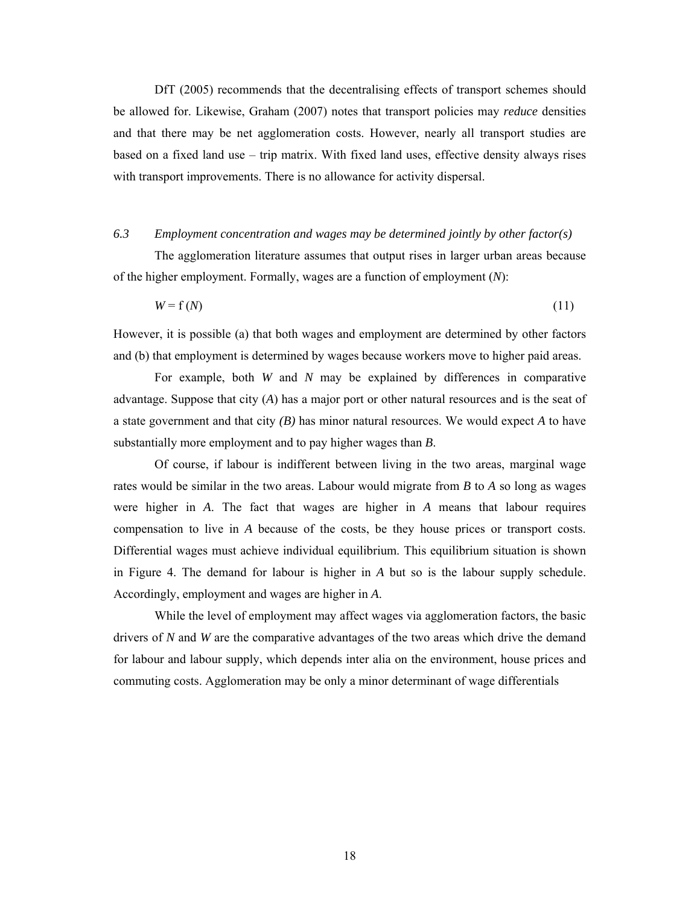DfT (2005) recommends that the decentralising effects of transport schemes should be allowed for. Likewise, Graham (2007) notes that transport policies may *reduce* densities and that there may be net agglomeration costs. However, nearly all transport studies are based on a fixed land use – trip matrix. With fixed land uses, effective density always rises with transport improvements. There is no allowance for activity dispersal.

#### *6.3 Employment concentration and wages may be determined jointly by other factor(s)*

The agglomeration literature assumes that output rises in larger urban areas because of the higher employment. Formally, wages are a function of employment (*N*):

 $W = f(N)$  (11)

However, it is possible (a) that both wages and employment are determined by other factors and (b) that employment is determined by wages because workers move to higher paid areas.

For example, both *W* and *N* may be explained by differences in comparative advantage. Suppose that city (*A*) has a major port or other natural resources and is the seat of a state government and that city *(B)* has minor natural resources. We would expect *A* to have substantially more employment and to pay higher wages than *B*.

Of course, if labour is indifferent between living in the two areas, marginal wage rates would be similar in the two areas. Labour would migrate from *B* to *A* so long as wages were higher in *A*. The fact that wages are higher in *A* means that labour requires compensation to live in *A* because of the costs, be they house prices or transport costs. Differential wages must achieve individual equilibrium. This equilibrium situation is shown in Figure 4. The demand for labour is higher in *A* but so is the labour supply schedule. Accordingly, employment and wages are higher in *A*.

While the level of employment may affect wages via agglomeration factors, the basic drivers of *N* and *W* are the comparative advantages of the two areas which drive the demand for labour and labour supply, which depends inter alia on the environment, house prices and commuting costs. Agglomeration may be only a minor determinant of wage differentials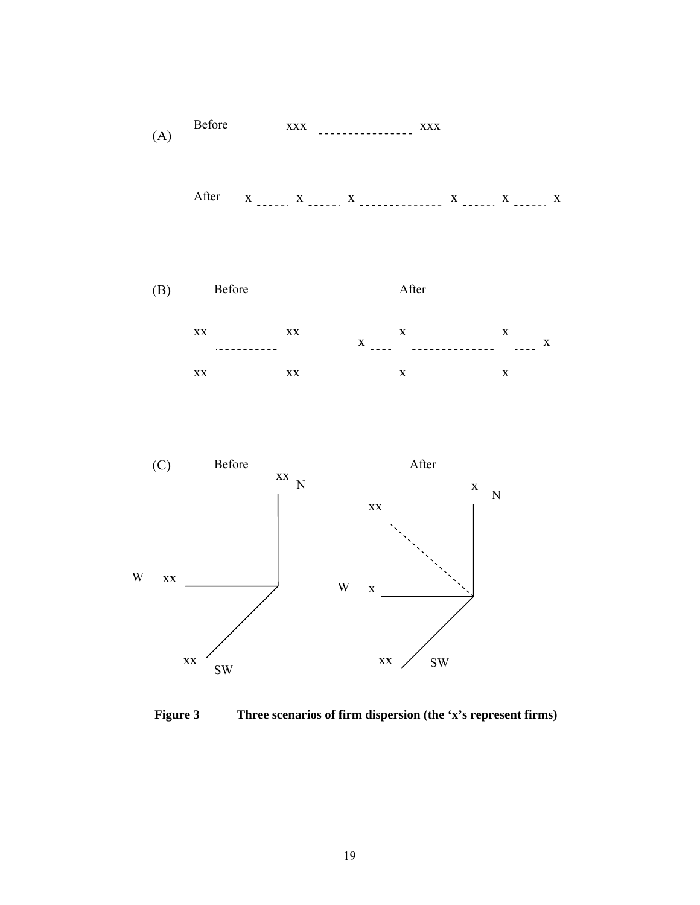

After  $x_1, x_2, x_3, x_4, x_5, x_6, x_7, x_8, x_9, x_1, x_2, x_3, x_4, x_5, x_6, x_7, x_8, x_9, x_1, x_2, x_3, x_4, x_5, x_6, x_7, x_8, x_9, x_1, x_2, x_3, x_4, x_5, x_6, x_7, x_8, x_9, x_1, x_2, x_3, x_4, x_5, x_6, x_7, x_8, x_9, x_1, x_2, x_3, x_4, x_6, x_7, x_8, x_9, x_$ 





**Figure 3 Three scenarios of firm dispersion (the 'x's represent firms)**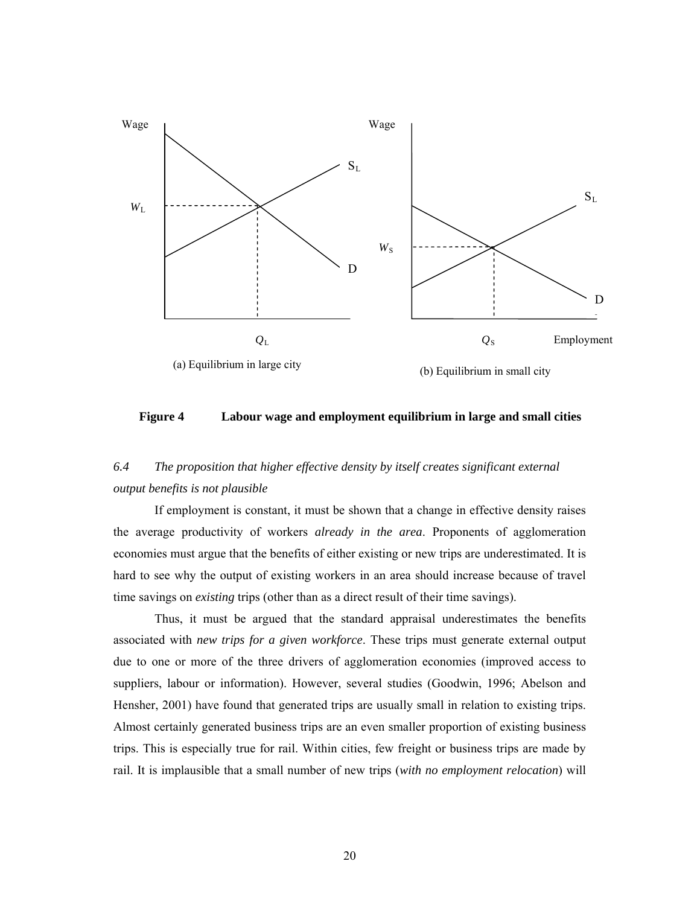

**Figure 4 Labour wage and employment equilibrium in large and small cities** 

# *6.4 The proposition that higher effective density by itself creates significant external output benefits is not plausible*

If employment is constant, it must be shown that a change in effective density raises the average productivity of workers *already in the area*. Proponents of agglomeration economies must argue that the benefits of either existing or new trips are underestimated. It is hard to see why the output of existing workers in an area should increase because of travel time savings on *existing* trips (other than as a direct result of their time savings).

Thus, it must be argued that the standard appraisal underestimates the benefits associated with *new trips for a given workforce*. These trips must generate external output due to one or more of the three drivers of agglomeration economies (improved access to suppliers, labour or information). However, several studies (Goodwin, 1996; Abelson and Hensher, 2001) have found that generated trips are usually small in relation to existing trips. Almost certainly generated business trips are an even smaller proportion of existing business trips. This is especially true for rail. Within cities, few freight or business trips are made by rail. It is implausible that a small number of new trips (*with no employment relocation*) will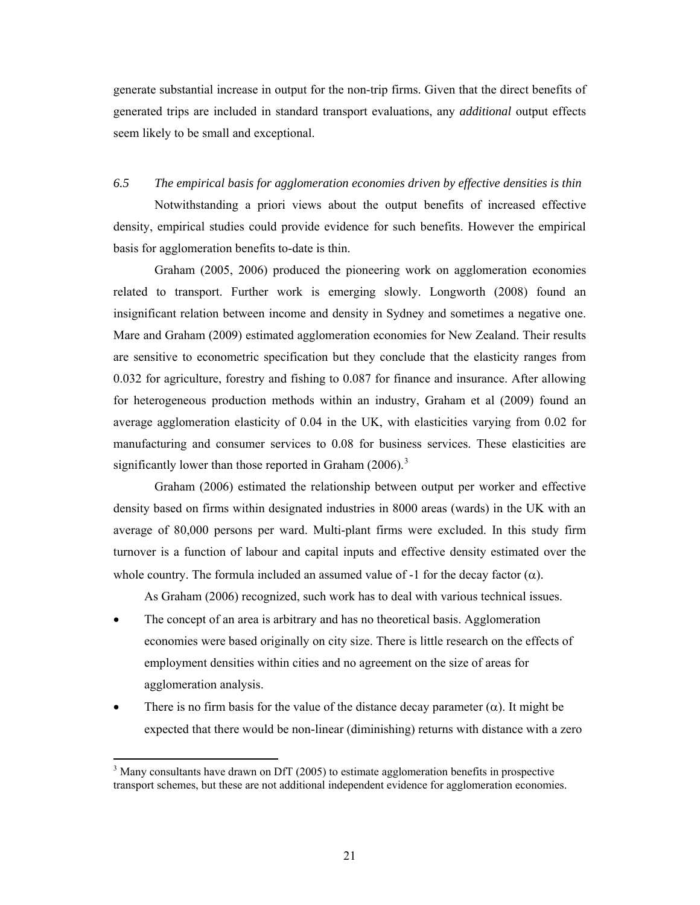generate substantial increase in output for the non-trip firms. Given that the direct benefits of generated trips are included in standard transport evaluations, any *additional* output effects seem likely to be small and exceptional.

## *6.5 The empirical basis for agglomeration economies driven by effective densities is thin*

Notwithstanding a priori views about the output benefits of increased effective density, empirical studies could provide evidence for such benefits. However the empirical basis for agglomeration benefits to-date is thin.

Graham (2005, 2006) produced the pioneering work on agglomeration economies related to transport. Further work is emerging slowly. Longworth (2008) found an insignificant relation between income and density in Sydney and sometimes a negative one. Mare and Graham (2009) estimated agglomeration economies for New Zealand. Their results are sensitive to econometric specification but they conclude that the elasticity ranges from 0.032 for agriculture, forestry and fishing to 0.087 for finance and insurance. After allowing for heterogeneous production methods within an industry, Graham et al (2009) found an average agglomeration elasticity of 0.04 in the UK, with elasticities varying from 0.02 for manufacturing and consumer services to 0.08 for business services. These elasticities are significantly lower than those reported in Graham  $(2006)$ .<sup>[3](#page-20-0)</sup>

Graham (2006) estimated the relationship between output per worker and effective density based on firms within designated industries in 8000 areas (wards) in the UK with an average of 80,000 persons per ward. Multi-plant firms were excluded. In this study firm turnover is a function of labour and capital inputs and effective density estimated over the whole country. The formula included an assumed value of -1 for the decay factor  $(\alpha)$ .

As Graham (2006) recognized, such work has to deal with various technical issues.

- The concept of an area is arbitrary and has no theoretical basis. Agglomeration economies were based originally on city size. There is little research on the effects of employment densities within cities and no agreement on the size of areas for agglomeration analysis.
- There is no firm basis for the value of the distance decay parameter  $(\alpha)$ . It might be expected that there would be non-linear (diminishing) returns with distance with a zero

1

<span id="page-20-0"></span> $3$  Many consultants have drawn on DfT (2005) to estimate agglomeration benefits in prospective transport schemes, but these are not additional independent evidence for agglomeration economies.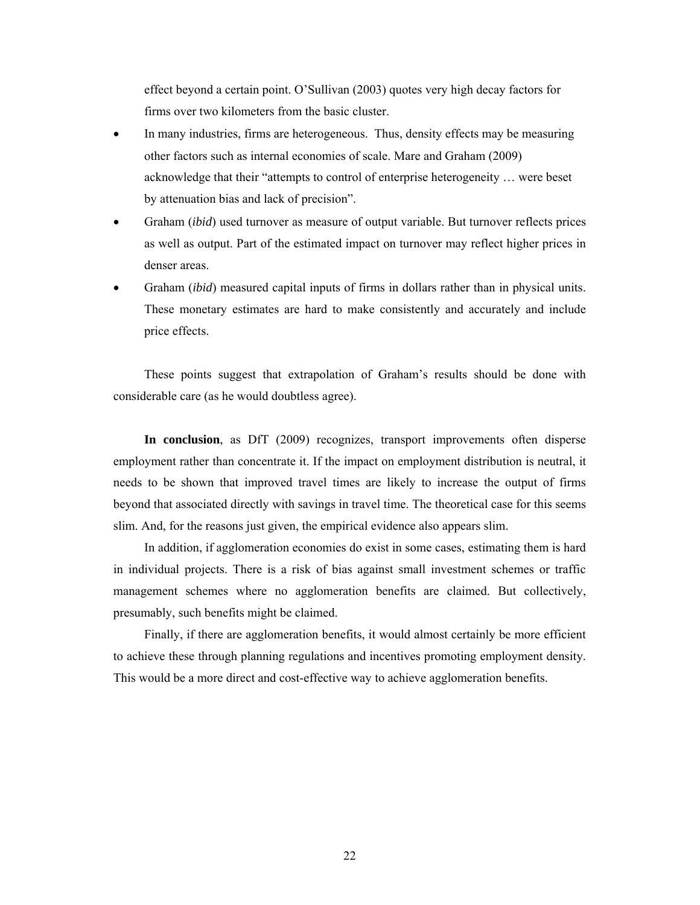effect beyond a certain point. O'Sullivan (2003) quotes very high decay factors for firms over two kilometers from the basic cluster.

- In many industries, firms are heterogeneous. Thus, density effects may be measuring other factors such as internal economies of scale. Mare and Graham (2009) acknowledge that their "attempts to control of enterprise heterogeneity … were beset by attenuation bias and lack of precision".
- Graham (*ibid*) used turnover as measure of output variable. But turnover reflects prices as well as output. Part of the estimated impact on turnover may reflect higher prices in denser areas.
- Graham (*ibid*) measured capital inputs of firms in dollars rather than in physical units. These monetary estimates are hard to make consistently and accurately and include price effects.

These points suggest that extrapolation of Graham's results should be done with considerable care (as he would doubtless agree).

**In conclusion**, as DfT (2009) recognizes, transport improvements often disperse employment rather than concentrate it. If the impact on employment distribution is neutral, it needs to be shown that improved travel times are likely to increase the output of firms beyond that associated directly with savings in travel time. The theoretical case for this seems slim. And, for the reasons just given, the empirical evidence also appears slim.

In addition, if agglomeration economies do exist in some cases, estimating them is hard in individual projects. There is a risk of bias against small investment schemes or traffic management schemes where no agglomeration benefits are claimed. But collectively, presumably, such benefits might be claimed.

Finally, if there are agglomeration benefits, it would almost certainly be more efficient to achieve these through planning regulations and incentives promoting employment density. This would be a more direct and cost-effective way to achieve agglomeration benefits.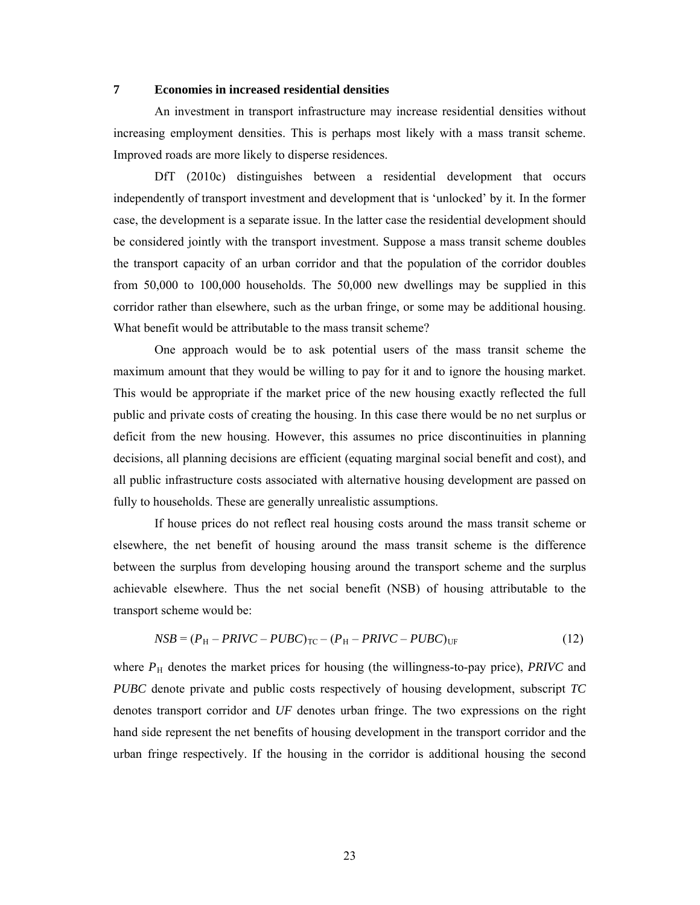## **7 Economies in increased residential densities**

An investment in transport infrastructure may increase residential densities without increasing employment densities. This is perhaps most likely with a mass transit scheme. Improved roads are more likely to disperse residences.

DfT (2010c) distinguishes between a residential development that occurs independently of transport investment and development that is 'unlocked' by it. In the former case, the development is a separate issue. In the latter case the residential development should be considered jointly with the transport investment. Suppose a mass transit scheme doubles the transport capacity of an urban corridor and that the population of the corridor doubles from 50,000 to 100,000 households. The 50,000 new dwellings may be supplied in this corridor rather than elsewhere, such as the urban fringe, or some may be additional housing. What benefit would be attributable to the mass transit scheme?

 One approach would be to ask potential users of the mass transit scheme the maximum amount that they would be willing to pay for it and to ignore the housing market. This would be appropriate if the market price of the new housing exactly reflected the full public and private costs of creating the housing. In this case there would be no net surplus or deficit from the new housing. However, this assumes no price discontinuities in planning decisions, all planning decisions are efficient (equating marginal social benefit and cost), and all public infrastructure costs associated with alternative housing development are passed on fully to households. These are generally unrealistic assumptions.

If house prices do not reflect real housing costs around the mass transit scheme or elsewhere, the net benefit of housing around the mass transit scheme is the difference between the surplus from developing housing around the transport scheme and the surplus achievable elsewhere. Thus the net social benefit (NSB) of housing attributable to the transport scheme would be:

$$
NSB = (PH - PRIVC - PUBC)TC - (PH - PRIVC - PUBC)UF
$$
\n(12)

where  $P_H$  denotes the market prices for housing (the willingness-to-pay price), *PRIVC* and *PUBC* denote private and public costs respectively of housing development, subscript *TC* denotes transport corridor and *UF* denotes urban fringe. The two expressions on the right hand side represent the net benefits of housing development in the transport corridor and the urban fringe respectively. If the housing in the corridor is additional housing the second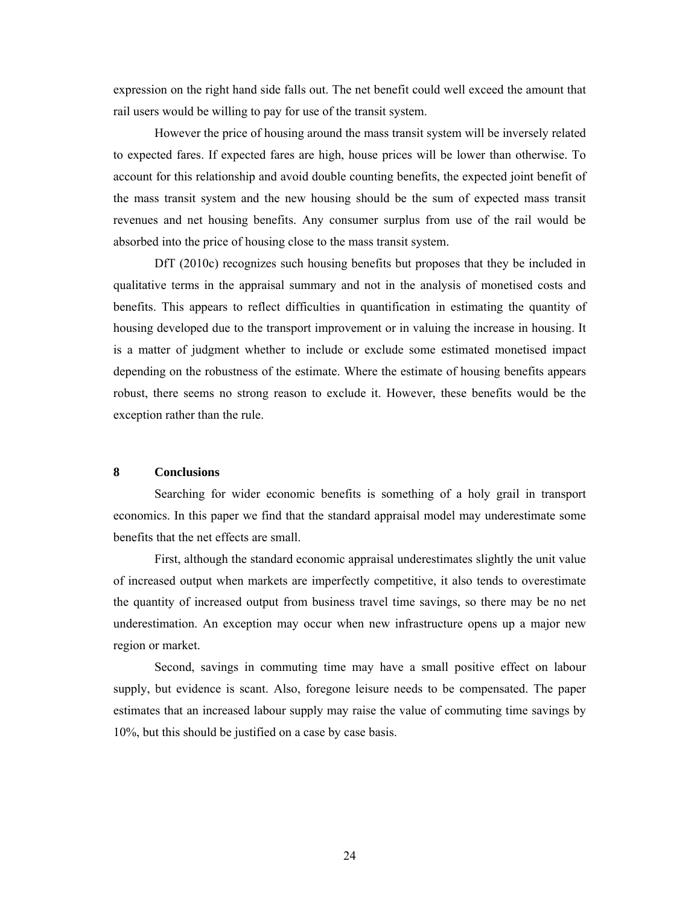expression on the right hand side falls out. The net benefit could well exceed the amount that rail users would be willing to pay for use of the transit system.

 However the price of housing around the mass transit system will be inversely related to expected fares. If expected fares are high, house prices will be lower than otherwise. To account for this relationship and avoid double counting benefits, the expected joint benefit of the mass transit system and the new housing should be the sum of expected mass transit revenues and net housing benefits. Any consumer surplus from use of the rail would be absorbed into the price of housing close to the mass transit system.

DfT (2010c) recognizes such housing benefits but proposes that they be included in qualitative terms in the appraisal summary and not in the analysis of monetised costs and benefits. This appears to reflect difficulties in quantification in estimating the quantity of housing developed due to the transport improvement or in valuing the increase in housing. It is a matter of judgment whether to include or exclude some estimated monetised impact depending on the robustness of the estimate. Where the estimate of housing benefits appears robust, there seems no strong reason to exclude it. However, these benefits would be the exception rather than the rule.

## **8 Conclusions**

Searching for wider economic benefits is something of a holy grail in transport economics. In this paper we find that the standard appraisal model may underestimate some benefits that the net effects are small.

First, although the standard economic appraisal underestimates slightly the unit value of increased output when markets are imperfectly competitive, it also tends to overestimate the quantity of increased output from business travel time savings, so there may be no net underestimation. An exception may occur when new infrastructure opens up a major new region or market.

Second, savings in commuting time may have a small positive effect on labour supply, but evidence is scant. Also, foregone leisure needs to be compensated. The paper estimates that an increased labour supply may raise the value of commuting time savings by 10%, but this should be justified on a case by case basis.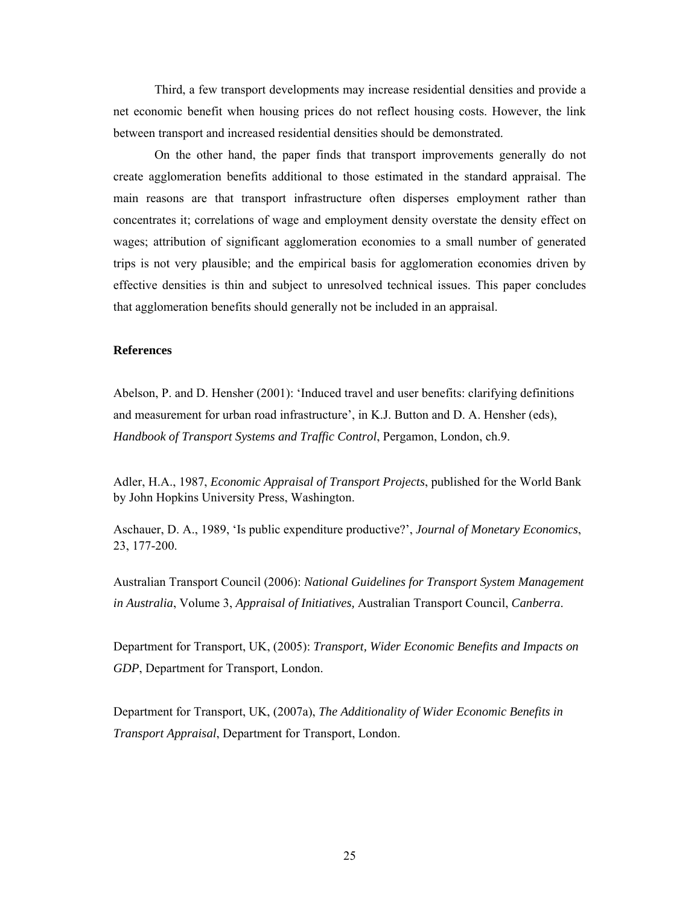Third, a few transport developments may increase residential densities and provide a net economic benefit when housing prices do not reflect housing costs. However, the link between transport and increased residential densities should be demonstrated.

On the other hand, the paper finds that transport improvements generally do not create agglomeration benefits additional to those estimated in the standard appraisal. The main reasons are that transport infrastructure often disperses employment rather than concentrates it; correlations of wage and employment density overstate the density effect on wages; attribution of significant agglomeration economies to a small number of generated trips is not very plausible; and the empirical basis for agglomeration economies driven by effective densities is thin and subject to unresolved technical issues. This paper concludes that agglomeration benefits should generally not be included in an appraisal.

#### **References**

Abelson, P. and D. Hensher (2001): 'Induced travel and user benefits: clarifying definitions and measurement for urban road infrastructure', in K.J. Button and D. A. Hensher (eds), *Handbook of Transport Systems and Traffic Control*, Pergamon, London, ch.9.

Adler, H.A., 1987, *Economic Appraisal of Transport Projects*, published for the World Bank by John Hopkins University Press, Washington.

Aschauer, D. A., 1989, 'Is public expenditure productive?', *Journal of Monetary Economics*, 23, 177-200.

Australian Transport Council (2006): *National Guidelines for Transport System Management in Australia*, Volume 3, *Appraisal of Initiatives,* Australian Transport Council, *Canberra*.

Department for Transport, UK, (2005): *Transport, Wider Economic Benefits and Impacts on GDP*, Department for Transport, London.

Department for Transport, UK, (2007a), *The Additionality of Wider Economic Benefits in Transport Appraisal*, Department for Transport, London.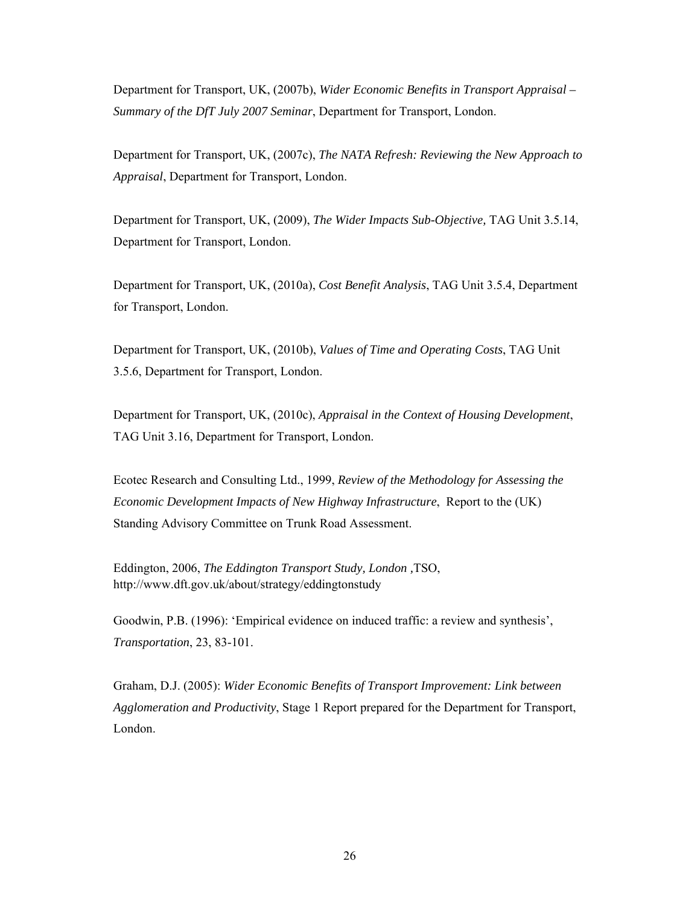Department for Transport, UK, (2007b), *Wider Economic Benefits in Transport Appraisal – Summary of the DfT July 2007 Seminar*, Department for Transport, London.

Department for Transport, UK, (2007c), *The NATA Refresh: Reviewing the New Approach to Appraisal*, Department for Transport, London.

Department for Transport, UK, (2009), *The Wider Impacts Sub-Objective,* TAG Unit 3.5.14, Department for Transport, London.

Department for Transport, UK, (2010a), *Cost Benefit Analysis*, TAG Unit 3.5.4, Department for Transport, London.

Department for Transport, UK, (2010b), *Values of Time and Operating Costs*, TAG Unit 3.5.6, Department for Transport, London.

Department for Transport, UK, (2010c), *Appraisal in the Context of Housing Development*, TAG Unit 3.16, Department for Transport, London.

Ecotec Research and Consulting Ltd., 1999, *Review of the Methodology for Assessing the Economic Development Impacts of New Highway Infrastructure*, Report to the (UK) Standing Advisory Committee on Trunk Road Assessment.

Eddington, 2006, *The Eddington Transport Study, London ,*TSO, http://www.dft.gov.uk/about/strategy/eddingtonstudy

Goodwin, P.B. (1996): 'Empirical evidence on induced traffic: a review and synthesis', *Transportation*, 23, 83-101.

Graham, D.J. (2005): *Wider Economic Benefits of Transport Improvement: Link between Agglomeration and Productivity*, Stage 1 Report prepared for the Department for Transport, London.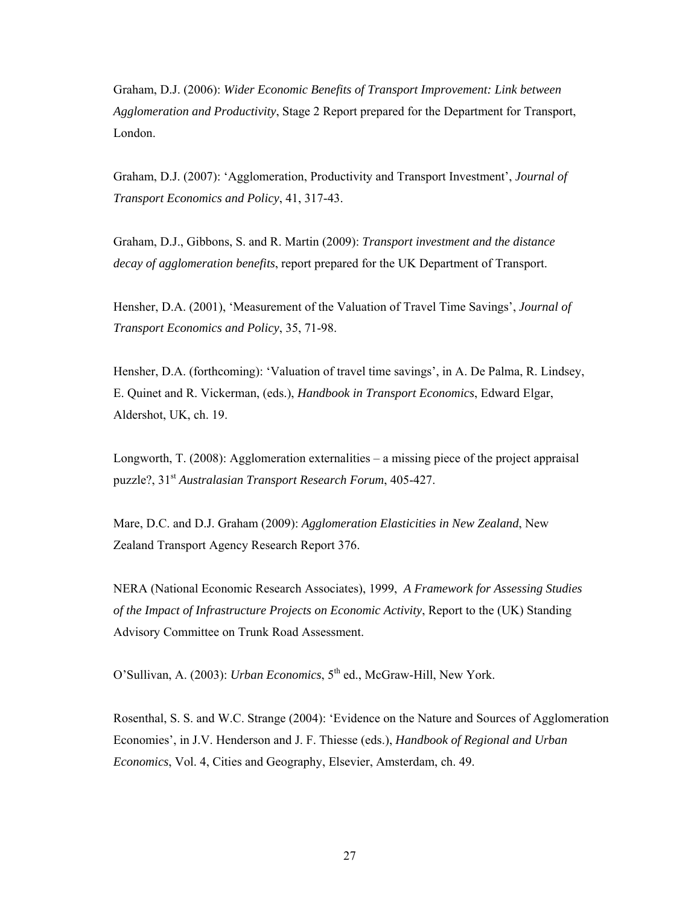Graham, D.J. (2006): *Wider Economic Benefits of Transport Improvement: Link between Agglomeration and Productivity*, Stage 2 Report prepared for the Department for Transport, London.

Graham, D.J. (2007): 'Agglomeration, Productivity and Transport Investment', *Journal of Transport Economics and Policy*, 41, 317-43.

Graham, D.J., Gibbons, S. and R. Martin (2009): *Transport investment and the distance decay of agglomeration benefits*, report prepared for the UK Department of Transport.

Hensher, D.A. (2001), 'Measurement of the Valuation of Travel Time Savings', *Journal of Transport Economics and Policy*, 35, 71-98.

Hensher, D.A. (forthcoming): 'Valuation of travel time savings', in A. De Palma, R. Lindsey, E. Quinet and R. Vickerman, (eds.), *Handbook in Transport Economics*, Edward Elgar, Aldershot, UK, ch. 19.

Longworth, T. (2008): Agglomeration externalities – a missing piece of the project appraisal puzzle?, 31st *Australasian Transport Research Forum*, 405-427.

Mare, D.C. and D.J. Graham (2009): *Agglomeration Elasticities in New Zealand*, New Zealand Transport Agency Research Report 376.

NERA (National Economic Research Associates), 1999, *A Framework for Assessing Studies of the Impact of Infrastructure Projects on Economic Activity*, Report to the (UK) Standing Advisory Committee on Trunk Road Assessment.

O'Sullivan, A. (2003): *Urban Economics*, 5<sup>th</sup> ed., McGraw-Hill, New York.

Rosenthal, S. S. and W.C. Strange (2004): 'Evidence on the Nature and Sources of Agglomeration Economies', in J.V. Henderson and J. F. Thiesse (eds.), *Handbook of Regional and Urban Economics*, Vol. 4, Cities and Geography, Elsevier, Amsterdam, ch. 49.